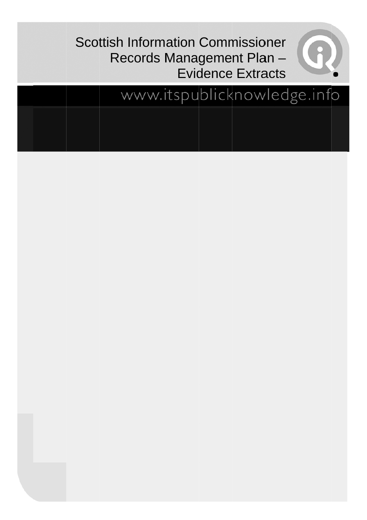# **Scottish Information Commissioner** Records Management Plan-**Evidence Extracts**



# www.itspublicknowledge.info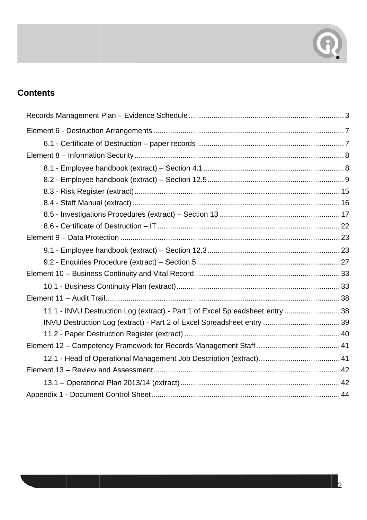

# **Contents**

| 11.1 - INVU Destruction Log (extract) - Part 1 of Excel Spreadsheet entry  38 |  |
|-------------------------------------------------------------------------------|--|
|                                                                               |  |
|                                                                               |  |
|                                                                               |  |
|                                                                               |  |
|                                                                               |  |
|                                                                               |  |
|                                                                               |  |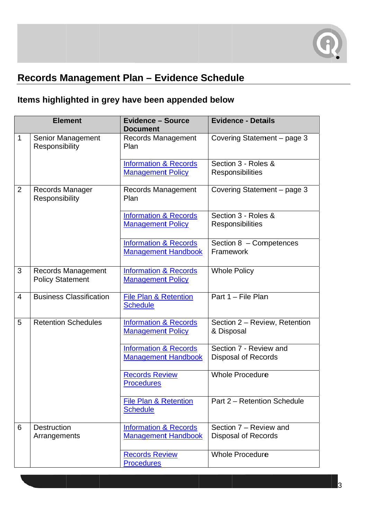

# Records Management Plan - Evidence Schedule

# Items highlighted in grey have been appended below

| <b>Evidence - Details</b><br><b>Element</b><br><b>Evidence - Source</b><br><b>Document</b> |                                               |                                                                |                                                      |
|--------------------------------------------------------------------------------------------|-----------------------------------------------|----------------------------------------------------------------|------------------------------------------------------|
| 1                                                                                          | Senior Management<br>Responsibility           | Records Management<br>Plan                                     | Covering Statement - page 3                          |
|                                                                                            |                                               | <b>Information &amp; Records</b><br><b>Management Policy</b>   | Section 3 - Roles &<br>Responsibilities              |
| $\overline{2}$                                                                             | Records Manager<br>Responsibility             | <b>Records Management</b><br>Plan                              | Covering Statement - page 3                          |
|                                                                                            |                                               | <b>Information &amp; Records</b><br><b>Management Policy</b>   | Section 3 - Roles &<br>Responsibilities              |
|                                                                                            |                                               | <b>Information &amp; Records</b><br><b>Management Handbook</b> | Section 8 - Competences<br>Framework                 |
| 3                                                                                          | Records Management<br><b>Policy Statement</b> | <b>Information &amp; Records</b><br><b>Management Policy</b>   | <b>Whole Policy</b>                                  |
| 4                                                                                          | <b>Business Classification</b>                | <b>File Plan &amp; Retention</b><br><b>Schedule</b>            | Part 1 - File Plan                                   |
| 5                                                                                          | <b>Retention Schedules</b>                    | <b>Information &amp; Records</b><br><b>Management Policy</b>   | Section 2 - Review, Retention<br>& Disposal          |
|                                                                                            |                                               | <b>Information &amp; Records</b><br><b>Management Handbook</b> | Section 7 - Review and<br><b>Disposal of Records</b> |
|                                                                                            |                                               | <b>Records Review</b><br><b>Procedures</b>                     | <b>Whole Procedure</b>                               |
|                                                                                            |                                               | <b>File Plan &amp; Retention</b><br><b>Schedule</b>            | Part 2 - Retention Schedule                          |
| 6                                                                                          | <b>Destruction</b><br>Arrangements            | <b>Information &amp; Records</b><br><b>Management Handbook</b> | Section 7 – Review and<br><b>Disposal of Records</b> |
|                                                                                            |                                               | <b>Records Review</b><br><b>Procedures</b>                     | <b>Whole Procedure</b>                               |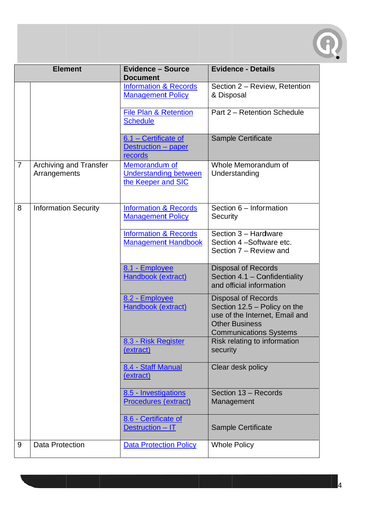

| <b>Element</b> |                                               | <b>Evidence - Source</b><br><b>Document</b>                         | <b>Evidence - Details</b>                                                                                                                                |
|----------------|-----------------------------------------------|---------------------------------------------------------------------|----------------------------------------------------------------------------------------------------------------------------------------------------------|
|                |                                               | <b>Information &amp; Records</b><br><b>Management Policy</b>        | Section 2 - Review, Retention<br>& Disposal                                                                                                              |
|                |                                               | <b>File Plan &amp; Retention</b><br><b>Schedule</b>                 | Part 2 - Retention Schedule                                                                                                                              |
|                |                                               | 6.1 - Certificate of<br>Destruction - paper<br>records              | <b>Sample Certificate</b>                                                                                                                                |
| $\overline{7}$ | <b>Archiving and Transfer</b><br>Arrangements | Memorandum of<br><b>Understanding between</b><br>the Keeper and SIC | Whole Memorandum of<br>Understanding                                                                                                                     |
| 8              | <b>Information Security</b>                   | <b>Information &amp; Records</b><br><b>Management Policy</b>        | Section 6 - Information<br>Security                                                                                                                      |
|                |                                               | <b>Information &amp; Records</b><br><b>Management Handbook</b>      | Section 3 - Hardware<br>Section 4-Software etc.<br>Section 7 - Review and                                                                                |
|                |                                               | 8.1 - Employee<br>Handbook (extract)                                | <b>Disposal of Records</b><br>Section 4.1 - Confidentiality<br>and official information                                                                  |
|                |                                               | 8.2 - Employee<br>Handbook (extract)                                | <b>Disposal of Records</b><br>Section $12.5 -$ Policy on the<br>use of the Internet, Email and<br><b>Other Business</b><br><b>Communications Systems</b> |
|                |                                               | 8.3 - Risk Register<br>(extract)                                    | Risk relating to information<br>security                                                                                                                 |
|                |                                               | 8.4 - Staff Manual<br>(extract)                                     | Clear desk policy                                                                                                                                        |
|                |                                               | 8.5 - Investigations<br>Procedures (extract)                        | Section 13 - Records<br>Management                                                                                                                       |
|                |                                               | 8.6 - Certificate of<br>Destruction - IT                            | <b>Sample Certificate</b>                                                                                                                                |
| 9              | <b>Data Protection</b>                        | <b>Data Protection Policy</b>                                       | <b>Whole Policy</b>                                                                                                                                      |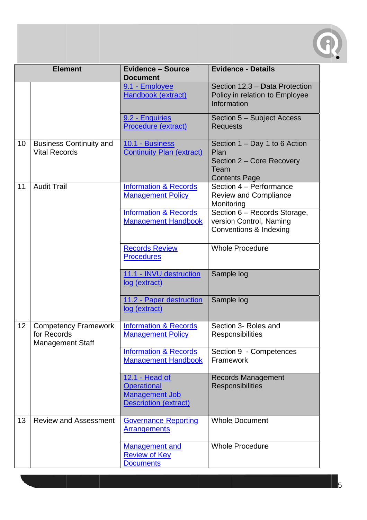

|    | <b>Element</b>                                                        | <b>Evidence - Source</b><br><b>Document</b>                                                   | <b>Evidence - Details</b>                                                                          |
|----|-----------------------------------------------------------------------|-----------------------------------------------------------------------------------------------|----------------------------------------------------------------------------------------------------|
|    |                                                                       | 9.1 - Employee<br>Handbook (extract)                                                          | Section 12.3 - Data Protection<br>Policy in relation to Employee<br>Information                    |
|    |                                                                       | 9.2 - Enquiries<br>Procedure (extract)                                                        | Section 5 - Subject Access<br><b>Requests</b>                                                      |
| 10 | <b>Business Continuity and</b><br><b>Vital Records</b>                | 10.1 - Business<br><b>Continuity Plan (extract)</b>                                           | Section 1 - Day 1 to 6 Action<br>Plan<br>Section 2 – Core Recovery<br>Team<br><b>Contents Page</b> |
| 11 | <b>Audit Trail</b>                                                    | <b>Information &amp; Records</b><br><b>Management Policy</b>                                  | Section 4 - Performance<br><b>Review and Compliance</b><br>Monitoring                              |
|    |                                                                       | <b>Information &amp; Records</b><br><b>Management Handbook</b>                                | Section 6 - Records Storage,<br>version Control, Naming<br>Conventions & Indexing                  |
|    |                                                                       | <b>Records Review</b><br><b>Procedures</b>                                                    | <b>Whole Procedure</b>                                                                             |
|    |                                                                       | 11.1 - INVU destruction<br>log (extract)                                                      | Sample log                                                                                         |
|    |                                                                       | 11.2 - Paper destruction<br>log (extract)                                                     | Sample log                                                                                         |
| 12 | <b>Competency Framework</b><br>for Records<br><b>Management Staff</b> | <b>Information &amp; Records</b><br><b>Management Policy</b>                                  | Section 3- Roles and<br>Responsibilities                                                           |
|    |                                                                       | <b>Information &amp; Records</b><br><b>Management Handbook</b>                                | Section 9 - Competences<br>Framework                                                               |
|    |                                                                       | 12.1 - Head of<br><b>Operational</b><br><b>Management Job</b><br><b>Description (extract)</b> | <b>Records Management</b><br><b>Responsibilities</b>                                               |
| 13 | <b>Review and Assessment</b>                                          | <b>Governance Reporting</b><br><b>Arrangements</b>                                            | <b>Whole Document</b>                                                                              |
|    |                                                                       | <b>Management and</b><br><b>Review of Key</b><br><b>Documents</b>                             | <b>Whole Procedure</b>                                                                             |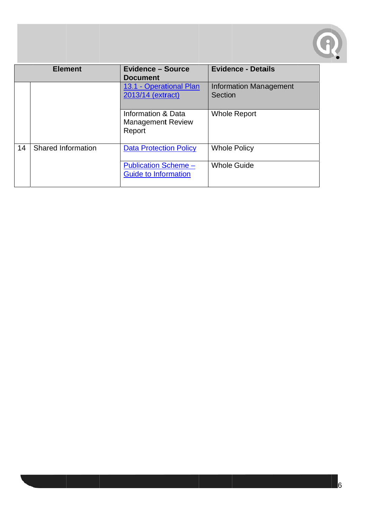

| <b>Element</b> |                    | <b>Evidence - Source</b><br><b>Document</b>                | <b>Evidence - Details</b>                |
|----------------|--------------------|------------------------------------------------------------|------------------------------------------|
|                |                    | 13.1 - Operational Plan<br>2013/14 (extract)               | <b>Information Management</b><br>Section |
|                |                    | Information & Data<br><b>Management Review</b><br>Report   | <b>Whole Report</b>                      |
| 14             | Shared Information | <b>Data Protection Policy</b>                              | <b>Whole Policy</b>                      |
|                |                    | <b>Publication Scheme -</b><br><b>Guide to Information</b> | <b>Whole Guide</b>                       |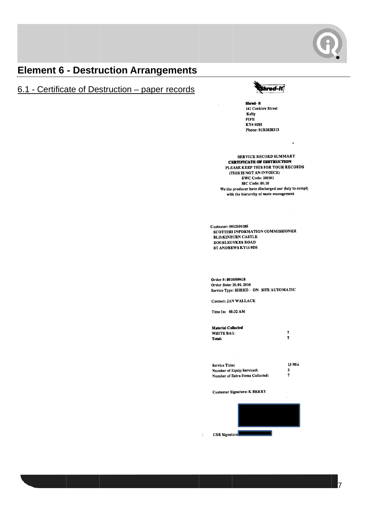

# **Element 6 - Destruction Arrangements**

# 6.1 - Certificate of Destruction - paper records



 $\pmb{\mathfrak{o}}$ 

Shred-it 161 Cocklaw Street Kelty **FIFE** KY4 ODH Phone: 01383838313

**SERVICE RECORD SUMMARY CRRTIFICATE OF DESTRUCTION** PLEASE KEEP THIS FOR YOUR RECORDS (THIS IS NOT AN INVOICE) **EWC Code: 200101 SIC Code: 80.10** We the producer have discharged our duty to comply with the hierarchy of waste management

Customer: 0012550285 SCOTTISH INFORMATION COMMISSIONER **BLD:KINBURN CASTLE DOUBLEDYKES ROAD** ST ANDREWS KY16 9DS

Order #: 8010509418 Order Date: 20.01.2014 Service Type: SHRED - ON- SITE AUTOMATIC

**Contact: JAN WALLACE** 

Time In: 08:32 AM

| Material Collected |   |
|--------------------|---|
| <b>WHITE BAG</b>   | 7 |
| Total:             | 7 |

13 Min **Service Time:** Number of Equip Serviced:  $\mathbf{3}$  $\overline{\mathbf{z}}$ Number of Extra Items Collected:

**Customer Signature: K BERRY** 

 $\frac{1}{4}$ 



17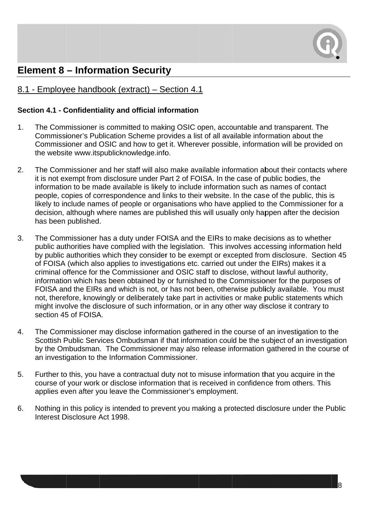

# **Element 8 - Information Security**

### 8.1 - Emplovee handbook (extract) – Section 4.1

#### Section 4.1 - Confidentiality and official information

- The Commissioner is committed to making OSIC open, accountable and transparent. The  $1<sub>1</sub>$ Commissioner's Publication Scheme provides a list of all available information about the Commissioner and OSIC and how to get it. Wherever possible, information will be provided on the website www.itspublicknowledge.info.
- $2.$ The Commissioner and her staff will also make available information about their contacts where it is not exempt from disclosure under Part 2 of FOISA. In the case of public bodies, the information to be made available is likely to include information such as names of contact people, copies of correspondence and links to their website. In the case of the public, this is likely to include names of people or organisations who have applied to the Commissioner for a decision, although where names are published this will usually only happen after the decision has been published.
- The Commissioner has a duty under FOISA and the EIRs to make decisions as to whether 3. public authorities have complied with the legislation. This involves accessing information held by public authorities which they consider to be exempt or excepted from disclosure. Section 45 of FOISA (which also applies to investigations etc. carried out under the EIRs) makes it a criminal offence for the Commissioner and OSIC staff to disclose, without lawful authority, information which has been obtained by or furnished to the Commissioner for the purposes of FOISA and the EIRs and which is not, or has not been, otherwise publicly available. You must not, therefore, knowingly or deliberately take part in activities or make public statements which might involve the disclosure of such information, or in any other way disclose it contrary to section 45 of FOISA.
- $\mathbf{4}$ . The Commissioner may disclose information gathered in the course of an investigation to the Scottish Public Services Ombudsman if that information could be the subject of an investigation by the Ombudsman. The Commissioner may also release information gathered in the course of an investigation to the Information Commissioner.
- $5<sub>1</sub>$ Further to this, you have a contractual duty not to misuse information that you acquire in the course of your work or disclose information that is received in confidence from others. This applies even after you leave the Commissioner's employment.
- 6. Nothing in this policy is intended to prevent you making a protected disclosure under the Public Interest Disclosure Act 1998.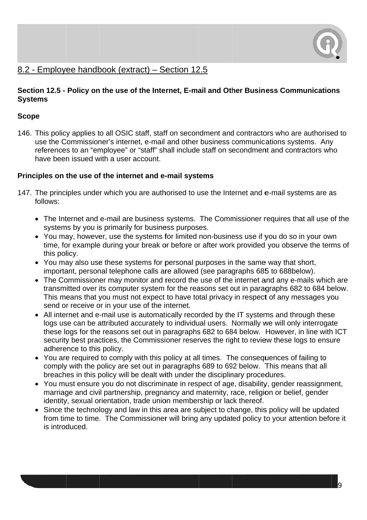

#### 8.2 - Employee handbook (extract) - Section 12.5

#### Section 12.5 - Policy on the use of the Internet, E-mail and Other Business Communications **Systems**

#### **Scope**

146. This policy applies to all OSIC staff, staff on secondment and contractors who are authorised to use the Commissioner's internet, e-mail and other business communications systems. Any references to an "employee" or "staff" shall include staff on secondment and contractors who have been issued with a user account.

#### Principles on the use of the internet and e-mail systems

- 147. The principles under which you are authorised to use the Internet and e-mail systems are as follows:
	- The Internet and e-mail are business systems. The Commissioner requires that all use of the systems by you is primarily for business purposes.
	- You may, however, use the systems for limited non-business use if you do so in your own time, for example during your break or before or after work provided you observe the terms of this policy.
	- You may also use these systems for personal purposes in the same way that short, important, personal telephone calls are allowed (see paragraphs 685 to 688below).
	- The Commissioner may monitor and record the use of the internet and any e-mails which are transmitted over its computer system for the reasons set out in paragraphs 682 to 684 below. This means that you must not expect to have total privacy in respect of any messages you send or receive or in your use of the internet.
	- All internet and e-mail use is automatically recorded by the IT systems and through these logs use can be attributed accurately to individual users. Normally we will only interrogate these logs for the reasons set out in paragraphs 682 to 684 below. However, in line with ICT security best practices, the Commissioner reserves the right to review these logs to ensure adherence to this policy.
	- You are required to comply with this policy at all times. The consequences of failing to comply with the policy are set out in paragraphs 689 to 692 below. This means that all breaches in this policy will be dealt with under the disciplinary procedures.
	- You must ensure you do not discriminate in respect of age, disability, gender reassignment. marriage and civil partnership, pregnancy and maternity, race, religion or belief, gender identity, sexual orientation, trade union membership or lack thereof.
	- Since the technology and law in this area are subject to change, this policy will be updated from time to time. The Commissioner will bring any updated policy to your attention before it is introduced.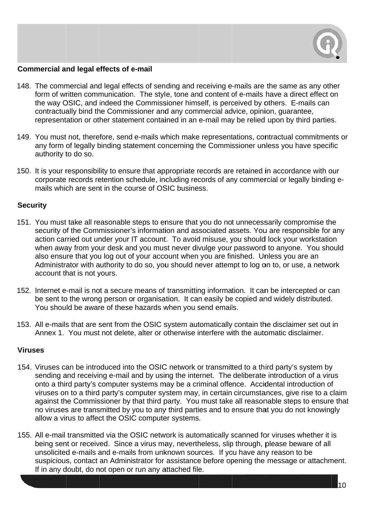

#### Commercial and legal effects of e-mail

- 148. The commercial and legal effects of sending and receiving e-mails are the same as any other form of written communication. The style, tone and content of e-mails have a direct effect on the way OSIC, and indeed the Commissioner himself, is perceived by others. E-mails can contractually bind the Commissioner and any commercial advice, opinion, quarantee, representation or other statement contained in an e-mail may be relied upon by third parties.
- 149. You must not, therefore, send e-mails which make representations, contractual commitments or any form of legally binding statement concerning the Commissioner unless you have specific authority to do so.
- 150. It is your responsibility to ensure that appropriate records are retained in accordance with our corporate records retention schedule, including records of any commercial or legally binding emails which are sent in the course of OSIC business.

#### **Security**

- 151. You must take all reasonable steps to ensure that you do not unnecessarily compromise the security of the Commissioner's information and associated assets. You are responsible for any action carried out under your IT account. To avoid misuse, you should lock your workstation when away from your desk and you must never divulge your password to anyone. You should also ensure that you log out of your account when you are finished. Unless you are an Administrator with authority to do so, you should never attempt to log on to, or use, a network account that is not yours.
- 152. Internet e-mail is not a secure means of transmitting information. It can be intercepted or can be sent to the wrong person or organisation. It can easily be copied and widely distributed. You should be aware of these hazards when you send emails.
- 153. All e-mails that are sent from the OSIC system automatically contain the disclaimer set out in Annex 1. You must not delete, alter or otherwise interfere with the automatic disclaimer.

#### **Viruses**

- 154. Viruses can be introduced into the OSIC network or transmitted to a third party's system by sending and receiving e-mail and by using the internet. The deliberate introduction of a virus onto a third party's computer systems may be a criminal offence. Accidental introduction of viruses on to a third party's computer system may, in certain circumstances, give rise to a claim against the Commissioner by that third party. You must take all reasonable steps to ensure that no viruses are transmitted by you to any third parties and to ensure that you do not knowingly allow a virus to affect the OSIC computer systems.
- 155. All e-mail transmitted via the OSIC network is automatically scanned for viruses whether it is being sent or received. Since a virus may, nevertheless, slip through, please beware of all unsolicited e-mails and e-mails from unknown sources. If you have any reason to be suspicious, contact an Administrator for assistance before opening the message or attachment. If in any doubt, do not open or run any attached file.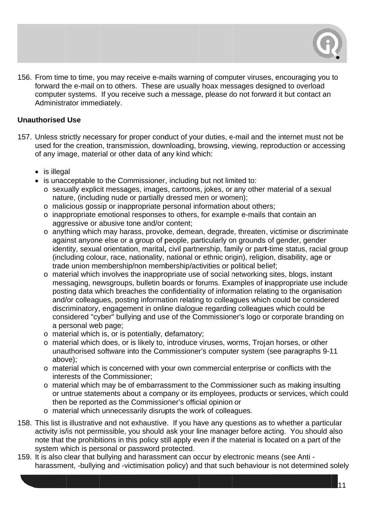

156. From time to time, you may receive e-mails warning of computer viruses, encouraging you to forward the e-mail on to others. These are usually hoax messages designed to overload computer systems. If you receive such a message, please do not forward it but contact an Administrator immediately.

#### **Unauthorised Use**

- 157. Unless strictly necessary for proper conduct of your duties, e-mail and the internet must not be used for the creation, transmission, downloading, browsing, viewing, reproduction or accessing of any image, material or other data of any kind which:
	- $\bullet$  is illegal
	- is unacceptable to the Commissioner, including but not limited to:
		- o sexually explicit messages, images, cartoons, jokes, or any other material of a sexual nature, (including nude or partially dressed men or women);
		- o malicious gossip or inappropriate personal information about others;
		- o inappropriate emotional responses to others, for example e-mails that contain an aggressive or abusive tone and/or content;
		- o anything which may harass, provoke, demean, degrade, threaten, victimise or discriminate against anyone else or a group of people, particularly on grounds of gender, gender identity, sexual orientation, marital, civil partnership, family or part-time status, racial group (including colour, race, nationality, national or ethnic origin), religion, disability, age or trade union membership/non membership/activities or political belief;
		- o material which involves the inappropriate use of social networking sites, blogs, instant messaging, newsgroups, bulletin boards or forums. Examples of inappropriate use include posting data which breaches the confidentiality of information relating to the organisation and/or colleagues, posting information relating to colleagues which could be considered discriminatory, engagement in online dialogue regarding colleagues which could be considered "cyber" bullying and use of the Commissioner's logo or corporate branding on a personal web page;
		- o material which is, or is potentially, defamatory;
		- o material which does, or is likely to, introduce viruses, worms. Troian horses, or other unauthorised software into the Commissioner's computer system (see paragraphs 9-11 above);
		- o material which is concerned with your own commercial enterprise or conflicts with the interests of the Commissioner:
		- o material which may be of embarrassment to the Commissioner such as making insulting or untrue statements about a company or its employees, products or services, which could then be reported as the Commissioner's official opinion or
		- o material which unnecessarily disrupts the work of colleagues.
- 158. This list is illustrative and not exhaustive. If you have any questions as to whether a particular activity is/is not permissible, you should ask your line manager before acting. You should also note that the prohibitions in this policy still apply even if the material is located on a part of the system which is personal or password protected.
- 159. It is also clear that bullying and harassment can occur by electronic means (see Anti harassment, -bullying and -victimisation policy) and that such behaviour is not determined solely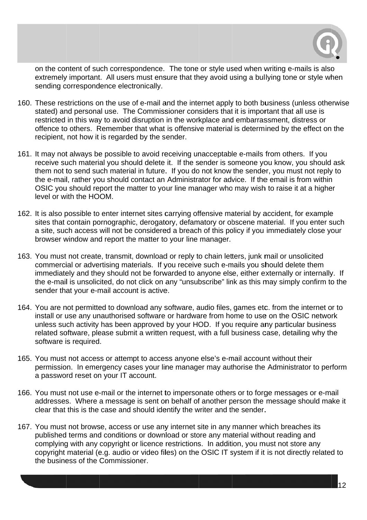

on the content of such correspondence. The tone or style used when writing e-mails is also on the content of such correspondence. The tone or style used when writing e-mails is also<br>extremely important. All users must ensure that they avoid using a bullying tone or style when sending correspondence electronically.

- 160. These restrictions on the use of e-mail and the internet apply to both business (unless otherwise stated) and personal use. The Commissioner considers that it is important that all use is restricted in this way to avoid disruption in the workplace and embarrassment, distress or offence to others. Remember that what is offensive material is determined by the effect on the recipient, not how it is regarded by the sender.
- 161. It may not always be possible to avoid receiving unacceptable e-mails from others. If you receive such material you should delete it. If the sender is someone you know, you should ask them not to send such material in future. If you do not know the sender, you must not reply to the e-mail, rather you should contact an Administrator for advice. If the email is from within the e-mail, rather you should contact an Administrator for advice. If the email is from within<br>OSIC you should report the matter to your line manager who may wish to raise it at a higher level or with the HOOM.
- 162. It is also possible to enter internet sites carrying offensive material by accident, for example It is also possible to enter internet sites carrying offensive material by accident, for example<br>sites that contain pornographic, derogatory, defamatory or obscene material. If you enter such a site, such access will not be considered a breach of this policy if you immediately close your browser window and report the matter to your line manager.
- 163. You must not create, transmit, download or reply to chain letters, junk mail or unsolicited commercial or advertising materials. If you receive such e-mails you should delete them immediately and they should not be forwarded to anyone else, either externally or internally. If the e-mail is unsolicited, do not click on any "unsubscribe" link as this may simply confirm to the sender that your e-mail account is active.
- 164. You are not permitted to download any software, audio files, games etc. from the internet or to install or use any unauthorised software or hardware from home to use on the OSIC network unless such activity has been approved by your HOD. If you require any particular business related software, please submit a written request, with a full business case, detailing why the software i s required .
- 165. You must not access or attempt to access anyone else's e-mail account without their permission. In emergency cases your line manager may authorise the Administrator to perform a password reset on your IT account.
- 166. You must not use e-mail or the internet to impersonate others or to forge messages or e-mail addresses. Where a message is sent on behalf of another person the message should make it clear that this is the case and should identify the writer and the sender.
- 167. You must not browse, access or use any internet site in any manner which breaches its published terms and conditions or download or store any material without reading and complying with any copyright or licence restrictions. In addition, you must not store any copyright material (e.g. audio or video files) on the OSIC IT system if it is not directly related to the business of the Commissioner.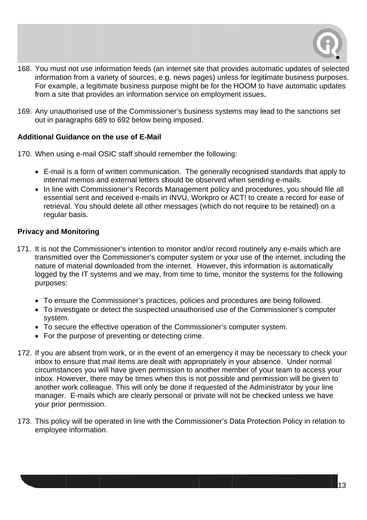

- 168. You must not use information feeds (an internet site that provides automatic updates of selected information from a variety of sources, e.g. news pages) unless for legitimate business purposes. For example, a legitimate business purpose might be for the HOOM to have automatic updates from a site that provides an information service on employment issues.
- 169. Any unauthorised use of the Commissioner's business systems may lead to the sanctions set out in paragraphs 689 to 692 below being imposed.

#### Additional Guidance on the use of E-Mail

170. When using e-mail OSIC staff should remember the following:

- E-mail is a form of written communication. The generally recognised standards that apply to internal memos and external letters should be observed when sending e-mails.
- In line with Commissioner's Records Management policy and procedures, you should file all essential sent and received e-mails in INVU, Workpro or ACT! to create a record for ease of retrieval. You should delete all other messages (which do not require to be retained) on a regular basis.

#### **Privacy and Monitoring**

- 171. It is not the Commissioner's intention to monitor and/or record routinely any e-mails which are transmitted over the Commissioner's computer system or your use of the internet, including the nature of material downloaded from the internet. However, this information is automatically logged by the IT systems and we may, from time to time, monitor the systems for the following purposes:
	- To ensure the Commissioner's practices, policies and procedures are being followed.
	- To investigate or detect the suspected unauthorised use of the Commissioner's computer system.
	- To secure the effective operation of the Commissioner's computer system.
	- For the purpose of preventing or detecting crime.
- 172. If you are absent from work, or in the event of an emergency it may be necessary to check your inbox to ensure that mail items are dealt with appropriately in your absence. Under normal circumstances you will have given permission to another member of your team to access your inbox. However, there may be times when this is not possible and permission will be given to another work colleague. This will only be done if requested of the Administrator by your line manager. E-mails which are clearly personal or private will not be checked unless we have your prior permission.
- 173. This policy will be operated in line with the Commissioner's Data Protection Policy in relation to employee information.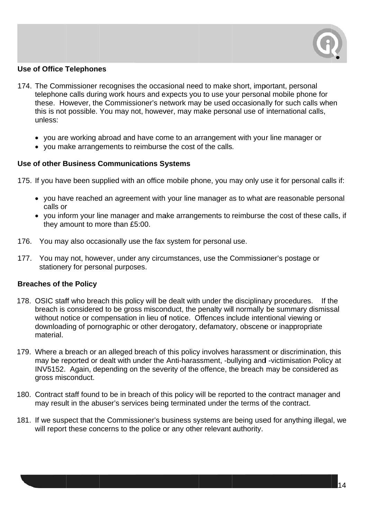

#### Use of Office Telephones

- 174. The Commissioner recognises the occasional need to make short, important, personal telephone calls during work hours and expects you to use your personal mobile phone for these. However, the Commissioner's network may be used occasionally for such calls when this is not possible. You may not, however, may make personal use of international calls, unless:
	- you are working abroad and have come to an arrangement with your line manager or
	- you make arrangements to reimburse the cost of the calls.

#### Use of other Business Communications Systems

175. If you have been supplied with an office mobile phone, you may only use it for personal calls if:

- you have reached an agreement with your line manager as to what are reasonable personal calls or
- calls or<br>• you inform your line manager and make arrangements to reimburse the cost of these calls, if they amount to more than £5:00.
- 176. You may also occasionally use the fax system for personal use.
- 177. You may not, however, under any circumstances, use the Commissioner's postage or stationery for personal purposes.

#### **Breaches of the Policy**

- 178. OSIC staff who breach this policy will be dealt with under the disciplinary procedures. If th breach is considered to be gross misconduct, the penalty will normally be summary dismissal without notice or compensation in lieu of notice. Offences include intentional viewing or downloading of pornographic or other derogatory, defamatory, obscene or inappropriate material. If the
- 179. Where a breach or an alleged breach of this policy involves harassment or discrimination, this may be reported or dealt with under the Anti-harassment, -bullying and -victimisation Policy at INV5152. Again, depending on the severity of the offence, the breach may be considered as gross mis sconduct.
- 180. Contract staff found to be in breach of this policy will be reported to the contract manager and may result in the abuser's services being terminated under the terms of the contract.
- 181. If we suspect that the Commissioner's business systems are being used for anything illegal, we will report these concerns to the police or any other relevant authority.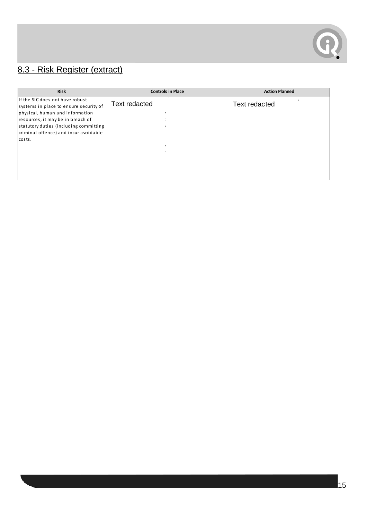

# 8.3 - Risk Register (extract)

| <b>Risk</b>                            | <b>Controls in Place</b> | <b>Action Planned</b> |
|----------------------------------------|--------------------------|-----------------------|
| If the SIC does not have robust        | <b>Text redacted</b>     |                       |
| systems in place to ensure security of |                          | <b>Text redacted</b>  |
| physical, human and information        |                          |                       |
| resources, it may be in breach of      |                          |                       |
| statutory duties (including committing |                          |                       |
| criminal offence) and incur avoidable  |                          |                       |
| costs.                                 |                          |                       |
|                                        |                          |                       |
|                                        |                          |                       |
|                                        |                          |                       |
|                                        |                          |                       |
|                                        |                          |                       |
|                                        |                          |                       |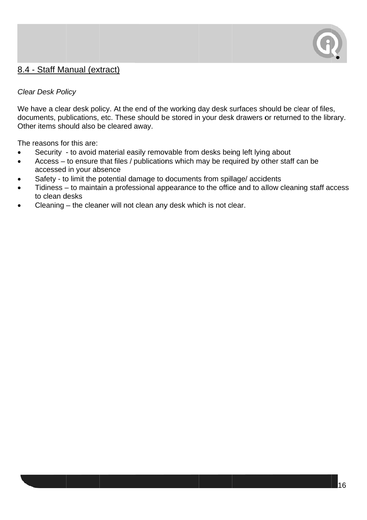

#### 8.4 - Staff Manual (extract)

#### **Clear Desk Policy**

We have a clear desk policy. At the end of the working day desk surfaces should be clear of files, documents, publications, etc. These should be stored in your desk drawers or returned to the library. Other items should also be cleared away.

The reasons for this are:

- Security to avoid material easily removable from desks being left lying about  $\bullet$
- Access to ensure that files / publications which may be required by other staff can be  $\bullet$ accessed in your absence
- Safety to limit the potential damage to documents from spillage/ accidents
- Tidiness to maintain a professional appearance to the office and to allow cleaning staff access to clean desks
- Cleaning the cleaner will not clean any desk which is not clear.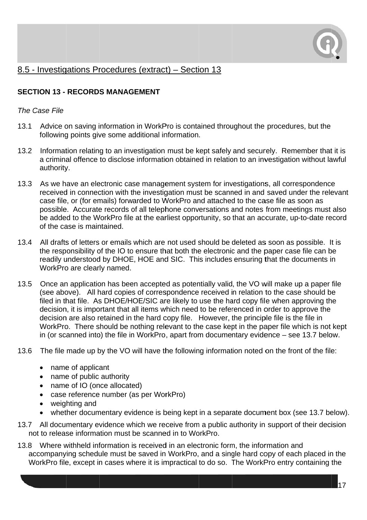

#### 8.5 - Investigations Procedures (extract) – Section 13

#### **SECTION 13 - RECORDS MANAGEMENT**

#### The Case File

- 13.1 Advice on saving information in WorkPro is contained throughout the procedures, but the following points give some additional information.
- $13.2$ Information relating to an investigation must be kept safely and securely. Remember that it is a criminal offence to disclose information obtained in relation to an investigation without lawful authority.
- As we have an electronic case management system for investigations, all correspondence  $13.3$ received in connection with the investigation must be scanned in and saved under the relevant case file, or (for emails) forwarded to WorkPro and attached to the case file as soon as possible. Accurate records of all telephone conversations and notes from meetings must also be added to the WorkPro file at the earliest opportunity, so that an accurate, up-to-date record of the case is maintained.
- $13.4$ All drafts of letters or emails which are not used should be deleted as soon as possible. It is the responsibility of the IO to ensure that both the electronic and the paper case file can be readily understood by DHOE, HOE and SIC. This includes ensuring that the documents in WorkPro are clearly named.
- Once an application has been accepted as potentially valid, the VO will make up a paper file  $13.5$ (see above). All hard copies of correspondence received in relation to the case should be filed in that file. As DHOE/HOE/SIC are likely to use the hard copy file when approving the decision, it is important that all items which need to be referenced in order to approve the decision are also retained in the hard copy file. However, the principle file is the file in WorkPro. There should be nothing relevant to the case kept in the paper file which is not kept in (or scanned into) the file in WorkPro, apart from documentary evidence – see 13.7 below.
- 13.6 The file made up by the VO will have the following information noted on the front of the file:
	- name of applicant
	- name of public authority
	- name of IO (once allocated)
	- case reference number (as per WorkPro)
	- weighting and
	- whether documentary evidence is being kept in a separate document box (see 13.7 below).
- 13.7 All documentary evidence which we receive from a public authority in support of their decision not to release information must be scanned in to WorkPro.
- 13.8 Where withheld information is received in an electronic form, the information and accompanying schedule must be saved in WorkPro, and a single hard copy of each placed in the WorkPro file, except in cases where it is impractical to do so. The WorkPro entry containing the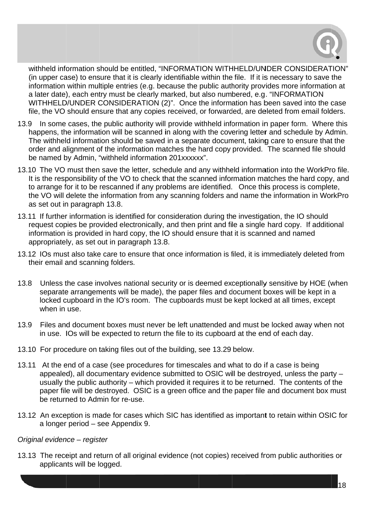

withheld information should be entitled, "INFORMATION WITHHELD/UNDER CONSIDERATION" (in upper case) to ensure that it is clearly identifiable within the file. If it is necessary to save the information within multiple entries (e.g. because the public authority provides more information at a later date), each entry must be clearly marked, but also numbered, e.g. "INFORMATION WITHHELD/UNDER CONSIDERATION (2)". Once the information has been saved into the case file, the VO should ensure that any copies received, or forwarded, are deleted from email folders.

- 13.9 In some cases, the public authority will provide withheld information in paper form. Where this happens, the information will be scanned in along with the covering letter and schedule by Admin. The withheld information should be saved in a separate document, taking care to ensure that the order and alignment of the information matches the hard copy provided. The scanned file should be named by Admin, "withheld information 201xxxxxx".
- 13.10 The VO must then save the letter, schedule and any withheld information into the WorkPro file. It is the responsibility of the VO to check that the scanned information matches the hard copy, and to arrange for it to be rescanned if any problems are identified. Once this process is complete, the VO will delete the information from any scanning folders and name the information in WorkPro as set out in paragraph 13.8.
- 13.11 If further information is identified for consideration during the investigation, the IO should request copies be provided electronically, and then print and file a single hard copy. If additional information is provided in hard copy, the IO should ensure that it is scanned and named appropriately, as set out in paragraph 13.8.
- 13.12 IOs must also take care to ensure that once information is filed, it is immediately deleted from their email and scanning folders.
- $13.8$ Unless the case involves national security or is deemed exceptionally sensitive by HOE (when separate arrangements will be made), the paper files and document boxes will be kept in a locked cupboard in the IO's room. The cupboards must be kept locked at all times, except when in use
- Files and document boxes must never be left unattended and must be locked away when not  $13.9$ in use. IOs will be expected to return the file to its cupboard at the end of each day.
- 13.10 For procedure on taking files out of the building, see 13.29 below.
- 13.11 At the end of a case (see procedures for timescales and what to do if a case is being appealed), all documentary evidence submitted to OSIC will be destroyed, unless the party usually the public authority – which provided it requires it to be returned. The contents of the paper file will be destroyed. OSIC is a green office and the paper file and document box must be returned to Admin for re-use.
- 13.12 An exception is made for cases which SIC has identified as important to retain within OSIC for a longer period - see Appendix 9.

#### Original evidence - register

13.13 The receipt and return of all original evidence (not copies) received from public authorities or applicants will be logged.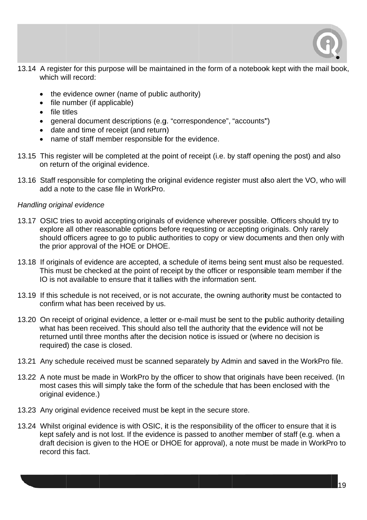

- 13.14 A register for this purpose will be maintained in the form of a notebook kept with the mail book, which will record:
	- the evidence owner (name of public authority)
	- file number (if applicable)
	- file titles
	- general document descriptions (e.g. "correspondence", "accounts")
	- date and time of receipt (and return)
	- name of staff member responsible for the evidence.
- 13.15 This register will be completed at the point of receipt (i.e. by staff opening the post) and also on return of the original evidence.
- 13.16 Staff responsible for completing the original evidence register must also alert the VO, who will add a note to the case file in WorkPro.

#### Handling original evidence

- 13.17 OSIC tries to avoid accepting originals of evidence wherever possible. Officers should try to explore all other reasonable options before requesting or accepting originals. Only rarely should officers agree to go to public authorities to copy or view documents and then only with the prior approval of the HOE or DHOE.
- 13.18 If originals of evidence are accepted, a schedule of items being sent must also be requested. This must be checked at the point of receipt by the officer or responsible team member if the IO is not available to ensure that it tallies with the information sent.
- 13.19 If this schedule is not received, or is not accurate, the owning authority must be contacted to confirm what has been received by us.
- 13.20 On receipt of original evidence, a letter or e-mail must be sent to the public authority detailing what has been received. This should also tell the authority that the evidence will not be returned until three months after the decision notice is issued or (where no decision is required) the case is closed.
- 13.21 Any schedule received must be scanned separately by Admin and saved in the WorkPro file.
- 13.22 A note must be made in WorkPro by the officer to show that originals have been received. (In most cases this will simply take the form of the schedule that has been enclosed with the original evidence.)
- 13.23 Any original evidence received must be kept in the secure store.
- 13.24 Whilst original evidence is with OSIC, it is the responsibility of the officer to ensure that it is kept safely and is not lost. If the evidence is passed to another member of staff (e.g. when a draft decision is given to the HOE or DHOE for approval), a note must be made in WorkPro to record this fact.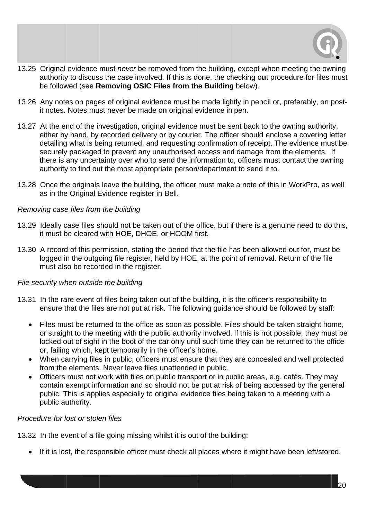

- 13.25 Original evidence must never be removed from the building, except when meeting the owning authority to discuss the case involved. If this is done, the checking out procedure for files must be followed (see Removing OSIC Files from the Building below).
- 13.26 Any notes on pages of original evidence must be made lightly in pencil or, preferably, on postit notes. Notes must never be made on original evidence in pen.
- 13.27 At the end of the investigation, original evidence must be sent back to the owning authority, either by hand, by recorded delivery or by courier. The officer should enclose a covering letter detailing what is being returned, and requesting confirmation of receipt. The evidence must be securely packaged to prevent any unauthorised access and damage from the elements. If there is any uncertainty over who to send the information to, officers must contact the owning authority to find out the most appropriate person/department to send it to.
- 13.28 Once the originals leave the building, the officer must make a note of this in WorkPro, as well as in the Original Evidence register in Bell.

#### Removing case files from the building

- 13.29 Ideally case files should not be taken out of the office, but if there is a genuine need to do this, it must be cleared with HOE, DHOE, or HOOM first.
- 13.30 A record of this permission, stating the period that the file has been allowed out for, must be logged in the outgoing file register, held by HOE, at the point of removal. Return of the file must also be recorded in the register.

#### File security when outside the building

- 13.31 In the rare event of files being taken out of the building, it is the officer's responsibility to ensure that the files are not put at risk. The following quidance should be followed by staff:
	- Files must be returned to the office as soon as possible. Files should be taken straight home, or straight to the meeting with the public authority involved. If this is not possible, they must be locked out of sight in the boot of the car only until such time they can be returned to the office or, failing which, kept temporarily in the officer's home.
	- When carrying files in public, officers must ensure that they are concealed and well protected from the elements. Never leave files unattended in public.
	- Officers must not work with files on public transport or in public areas, e.g. cafés. They may contain exempt information and so should not be put at risk of being accessed by the general public. This is applies especially to original evidence files being taken to a meeting with a public authority.

#### Procedure for lost or stolen files

13.32 In the event of a file going missing whilst it is out of the building:

• If it is lost, the responsible officer must check all places where it might have been left/stored.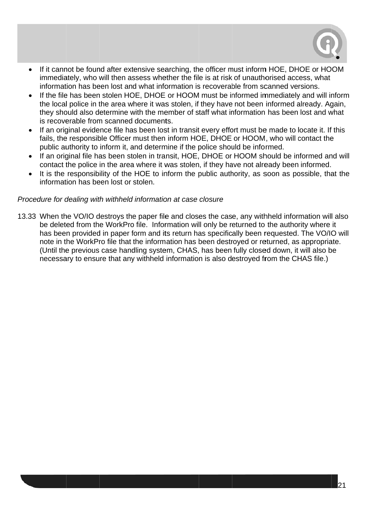

- If it cannot be found after extensive searching, the officer must inform HOE, DHOE or HOOM immediately, who will then assess whether the file is at risk of unauthorised access, what information has been lost and what information is recoverable from scanned versions.
- If the file has been stolen HOE, DHOE or HOOM must be informed immediately and will inform the local police in the area where it was stolen, if they have not been informed already. Again, they should also determine with the member of staff what information has been lost and what is recoverable from scanned documents.
- If an original evidence file has been lost in transit every effort must be made to locate it. If this fails, the responsible Officer must then inform HOE, DHOE or HOOM, who will contact the public authority to inform it, and determine if the police should be informed.
- If an original file has been stolen in transit, HOE, DHOE or HOOM should be informed and will contact the police in the area where it was stolen, if they have not already been informed.
- It is the responsibility of the HOE to inform the public authority, as soon as possible, that the information has been lost or stolen.

#### Procedure for dealing with withheld information at case closure

13.33 When the VO/IO destroys the paper file and closes the case, any withheld information will also be deleted from the WorkPro file. Information will only be returned to the authority where it has been provided in paper form and its return has specifically been requested. The VO/IO will note in the WorkPro file that the information has been destroyed or returned, as appropriate. (Until the previous case handling system, CHAS, has been fully closed down, it will also be necessary to ensure that any withheld information is also destroyed from the CHAS file.)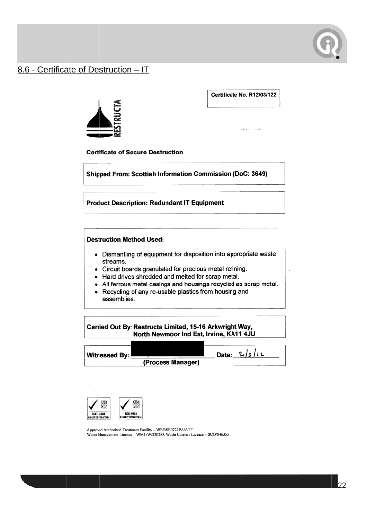

#### 8.6 - Certificate of Destruction - IT

Certificate No. R12/03/122



**Samer** County

 $\bar{x}_i$ 

**Certificate of Secure Destruction** 

**Shipped From: Scottish Information Commission (DoC: 3649)** 

#### **Product Description: Redundant IT Equipment**

#### **Destruction Method Used:**

- Dismantling of equipment for disposition into appropriate waste streams.
- Circuit boards granulated for precious metal refining.
- Hard drives shredded and melted for scrap metal.
- All ferrous metal casings and housings recycled as scrap metal.
- Recycling of any re-usable plastics from housing and assemblies.

Carried Out By: Restructa Limited, 15-16 Arkwright Way, North Newmoor Ind Est, Irvine, KA11 4JU

Date:  $3/3/12$ Witnessed By: (Process Manager)



Approved Authorised Treatment Facility - WEE/SE0722PA/ATF<br>Waste Management Licence - WML/W/220288, Waste Carriers Licence - SCO/046355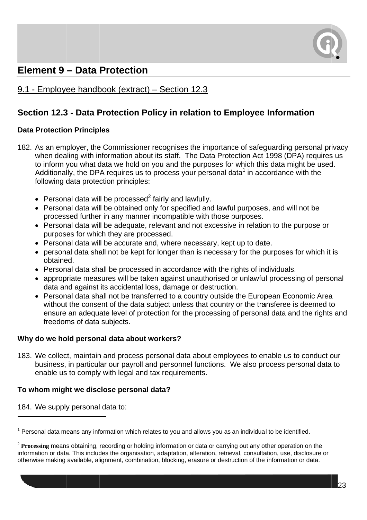

# **Element 9 – Data Protection**

#### 9.1 - Emplovee handbook (extract) – Section 12.3

#### Section 12.3 - Data Protection Policy in relation to Employee Information

#### **Data Protection Principles**

- 182. As an emplover, the Commissioner recognises the importance of safequarding personal privacy when dealing with information about its staff. The Data Protection Act 1998 (DPA) requires us to inform you what data we hold on you and the purposes for which this data might be used. Additionally, the DPA requires us to process your personal data<sup>1</sup> in accordance with the following data protection principles:
	- Personal data will be processed<sup>2</sup> fairly and lawfully.
	- Personal data will be obtained only for specified and lawful purposes, and will not be processed further in any manner incompatible with those purposes.
	- Personal data will be adequate, relevant and not excessive in relation to the purpose or purposes for which they are processed.
	- Personal data will be accurate and, where necessary, kept up to date.
	- personal data shall not be kept for longer than is necessary for the purposes for which it is obtained.
	- Personal data shall be processed in accordance with the rights of individuals.
	- appropriate measures will be taken against unauthorised or unlawful processing of personal data and against its accidental loss, damage or destruction.
	- Personal data shall not be transferred to a country outside the European Economic Area without the consent of the data subject unless that country or the transferee is deemed to ensure an adequate level of protection for the processing of personal data and the rights and freedoms of data subjects.

#### Why do we hold personal data about workers?

183. We collect, maintain and process personal data about employees to enable us to conduct our business, in particular our payroll and personnel functions. We also process personal data to enable us to comply with legal and tax requirements.

#### To whom might we disclose personal data?

184. We supply personal data to:

 $1$  Personal data means any information which relates to you and allows you as an individual to be identified.

 $2$  Processing means obtaining, recording or holding information or data or carrying out any other operation on the information or data. This includes the organisation, adaptation, alteration, retrieval, consultation, use, disclosure or otherwise making available, alignment, combination, blocking, erasure or destruction of the information or data.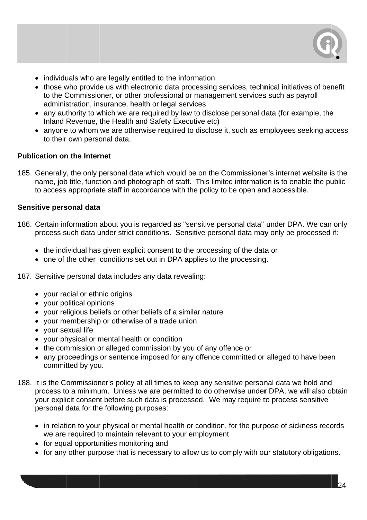

- individuals who are legally entitled to the information
- those who provide us with electronic data processing services, technical initiatives of benefit to the Commissioner, or other professional or management services such as payroll administration, insurance, health or legal services
- any authority to which we are required by law to disclose personal data (for example, the Inland Revenue, the Health and Safety Executive etc)
- anyone to whom we are otherwise required to disclose it, such as employees seeking access to their own personal data.

#### **Publication on the Internet**

185. Generally, the only personal data which would be on the Commissioner's internet website is the name, job title, function and photograph of staff. This limited information is to enable the public to access appropriate staff in accordance with the policy to be open and accessible.

#### Sensitive personal data

- 186. Certain information about you is regarded as "sensitive personal data" under DPA. We can only process such data under strict conditions. Sensitive personal data may only be processed if:
	- the individual has given explicit consent to the processing of the data or
	- one of the other conditions set out in DPA applies to the processing.
- 187. Sensitive personal data includes any data revealing:
	- vour racial or ethnic origins
	- your political opinions
	- your religious beliefs or other beliefs of a similar nature
	- your membership or otherwise of a trade union
	- your sexual life
	- your physical or mental health or condition
	- the commission or alleged commission by you of any offence or
	- any proceedings or sentence imposed for any offence committed or alleged to have been committed by you.
- 188. It is the Commissioner's policy at all times to keep any sensitive personal data we hold and process to a minimum. Unless we are permitted to do otherwise under DPA, we will also obtain your explicit consent before such data is processed. We may require to process sensitive personal data for the following purposes:
	- in relation to your physical or mental health or condition, for the purpose of sickness records we are required to maintain relevant to your employment
	- for equal opportunities monitoring and
	- for any other purpose that is necessary to allow us to comply with our statutory obligations.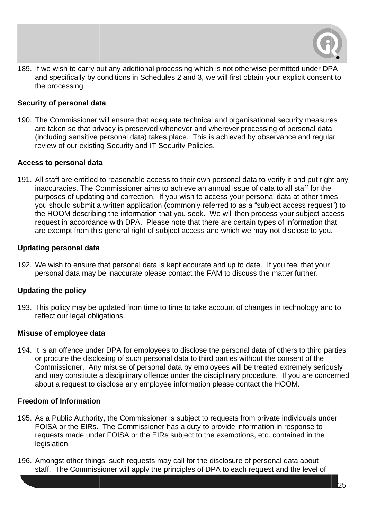

189. If we wish to carry out any additional processing which is not otherwise permitted under DPA and specifically by conditions in Schedules 2 and 3, we will first obtain your explicit consent to the processing.

#### **Security of personal data**

190. The Commissioner will ensure that adequate technical and organisational security measures are taken so that privacy is preserved whenever and wherever processing of personal data are taken so that privacy is preserved whenever and wherever processing of personal data<br>(including sensitive personal data) takes place. This is achieved by observance and regular review of our existing Security and IT Security Policies.

#### **Access to personal data**

191. All staff are entitled to reasonable access to their own personal data to verify it and put right any inaccuracies. The Commissioner aims to achieve an annual issue of data to all staff for the purposes of updating and correction. If you wish to access your personal data at other times, you should submit a written application (commonly referred to as a "subject access request") to the HOOM describing the information that you seek. We will then process your subject access request in accordance with DPA. Please note that there are certain types of information that are exempt from this general right of subject access and which we may not disclose to you. .<br>.<br>d to

#### Updating personal data

192. We wish to ensure that personal data is kept accurate and up to date. If you feel that your personal data may be inaccurate please contact the FAM to discuss the matter further.

#### Updating the policy

193. This policy may be updated from time to time to take account of changes in technology and reflect our legal obligations.

#### **Misuse of employee data**

194. It is an offence under DPA for employees to disclose the personal data of others to third parties or procure the disclosing of such personal data to third parties without the consent of the Commissioner. Any misuse of personal data by employees will be treated extremely seriously and may constitute a disciplinary offence under the disciplinary procedure. If you are concerned about a request to disclose any employee information please contact the HOOM.

#### **Freedom of Information**

- about a request to disclose any employee information please contact the HOOM.<br>Freedom of Information<br>195. As a Public Authority, the Commissioner is subject to requests from private individuals under FOISA or the EIRs. The Commissioner has a duty to provide information in response to requests made under FOISA or the EIRs subject to the exemptions, etc. contained in the legislation.
- 196. Amongst other things, such requests may call for the disclosure of personal data about staff. The Commissioner will apply the principles of DPA to each request and the level of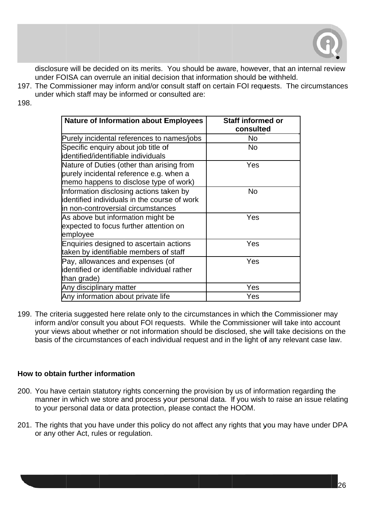

disclosure will be decided on its merits. You should be aware, however, that an internal review under FOISA can overrule an initial decision that information should be withheld.

- 197. The Commissioner may inform and/or consult staff on certain FOI requests. The circumstances under which staff may be informed or consulted are:
- 198.

| <b>Nature of Information about Employees</b>                                                                                   | Staff informed or<br>consulted |
|--------------------------------------------------------------------------------------------------------------------------------|--------------------------------|
| Purely incidental references to names/jobs                                                                                     | No                             |
| Specific enquiry about job title of<br>identified/identifiable individuals                                                     | <b>No</b>                      |
| Nature of Duties (other than arising from<br>purely incidental reference e.g. when a<br>memo happens to disclose type of work) | Yes                            |
| Information disclosing actions taken by<br>identified individuals in the course of work<br>in non-controversial circumstances  | <b>No</b>                      |
| As above but information might be<br>expected to focus further attention on<br>employee                                        | Yes                            |
| Enquiries designed to ascertain actions<br>taken by identifiable members of staff                                              | Yes                            |
| Pay, allowances and expenses (of<br>identified or identifiable individual rather<br>than grade)                                | Yes                            |
| Any disciplinary matter                                                                                                        | Yes                            |
| Any information about private life                                                                                             | Yes                            |

199. The criteria suggested here relate only to the circumstances in which the Commissioner may inform and/or consult you about FOI requests. While the Commissioner will take into account your views about whether or not information should be disclosed, she will take decisions on the basis of the circumstances of each individual request and in the light of any relevant case law.

#### How to obtain further information

- 200. You have certain statutory rights concerning the provision by us of information regarding the manner in which we store and process your personal data. If you wish to raise an issue relating to your personal data or data protection, please contact the HOOM.
- 201. The rights that you have under this policy do not affect any rights that you may have under DPA or any other Act, rules or regulation.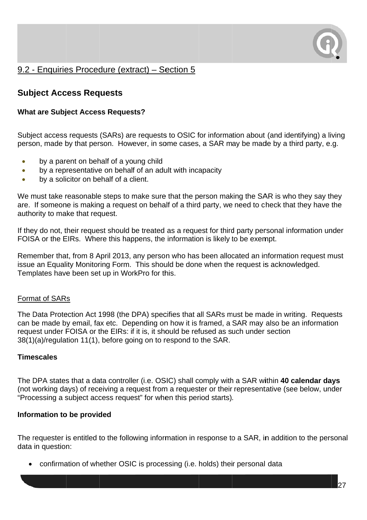

### 9.2 - Enquiries Procedure (extract) – Section 5

### **Subject Access Requests**

#### **What are Subject Access Requests?**

Subject access requests (SARs) are requests to OSIC for information about (and identifying) a living person, made by that person. However, in some cases, a SAR may be made by a third party, e.g.

- by a parent on behalf of a young child  $\bullet$
- by a representative on behalf of an adult with incapacity  $\bullet$
- by a solicitor on behalf of a client.  $\bullet$

We must take reasonable steps to make sure that the person making the SAR is who they say they are. If someone is making a request on behalf of a third party, we need to check that they have the authority to make that request.

If they do not, their request should be treated as a request for third party personal information under FOISA or the EIRs. Where this happens, the information is likely to be exempt.

Remember that, from 8 April 2013, any person who has been allocated an information request must issue an Equality Monitoring Form. This should be done when the request is acknowledged. Templates have been set up in WorkPro for this.

#### **Format of SARs**

The Data Protection Act 1998 (the DPA) specifies that all SARs must be made in writing. Requests can be made by email, fax etc. Depending on how it is framed, a SAR may also be an information request under FOISA or the EIRs: if it is, it should be refused as such under section 38(1)(a)/regulation 11(1), before going on to respond to the SAR.

#### **Timescales**

The DPA states that a data controller (i.e. OSIC) shall comply with a SAR within 40 calendar days (not working days) of receiving a request from a requester or their representative (see below, under "Processing a subject access request" for when this period starts).

#### Information to be provided

The requester is entitled to the following information in response to a SAR, in addition to the personal data in question:

• confirmation of whether OSIC is processing (i.e. holds) their personal data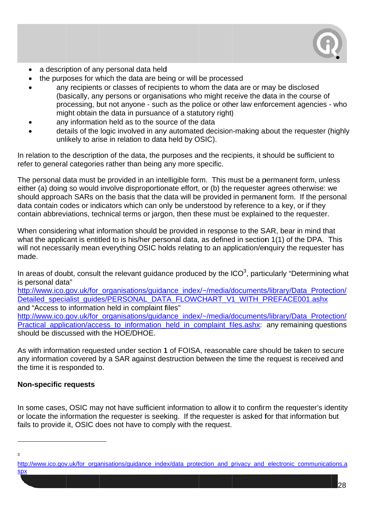

- a description of any personal data held
- the purposes for which the data are being or will be processed
- any recipients or classes of recipients to whom the data are or may be disclosed (basically, any persons or organisations who might receive the data in the course of processing, but not anyone - such as the police or other law enforcement agencies - who might obtain the data in pursuance of a statutory right)
- any information held as to the source of the data
- details of the logic involved in any automated decision-making about the requester (highly unlikely to arise in relation to data held by OSIC).

In relation to the description of the data, the purposes and the recipients, it should be sufficient to refer to general categories rather than being any more specific.

The personal data must be provided in an intelligible form. This must be a permanent form, unless either (a) doing so would involve disproportionate effort, or (b) the requester agrees otherwise: we should approach SARs on the basis that the data will be provided in permanent form. If the personal data contain codes or indicators which can only be understood by reference to a key, or if they contain abbreviations, technical terms or jargon, then these must be explained to the requester.

When considering what information should be provided in response to the SAR, bear in mind that what the applicant is entitled to is his/her personal data, as defined in section 1(1) of the DPA. This will not necessarily mean everything OSIC holds relating to an application/enguiry the requester has made.

In areas of doubt, consult the relevant quidance produced by the  $ICO<sup>3</sup>$ , particularly "Determining what is personal data"

http://www.jco.gov.uk/for\_organisations/guidance\_index/~/media/documents/library/Data\_Protection/ Detailed specialist quides/PERSONAL DATA FLOWCHART V1 WITH PREFACE001.ashx and "Access to information held in complaint files"

http://www.ico.gov.uk/for\_organisations/guidance\_index/~/media/documents/library/Data\_Protection/ Practical application/access to information held in complaint files.ashx: any remaining questions should be discussed with the HOF/DHOF

As with information requested under section 1 of FOISA, reasonable care should be taken to secure any information covered by a SAR against destruction between the time the request is received and the time it is responded to.

#### **Non-specific requests**

In some cases, OSIC may not have sufficient information to allow it to confirm the requester's identity or locate the information the requester is seeking. If the requester is asked for that information but fails to provide it, OSIC does not have to comply with the request.

 $\mathbf{3}$ 

http://www.ico.gov.uk/for\_organisations/guidance\_index/data\_protection\_and\_privacy\_and\_electronic\_communications.a **SDX**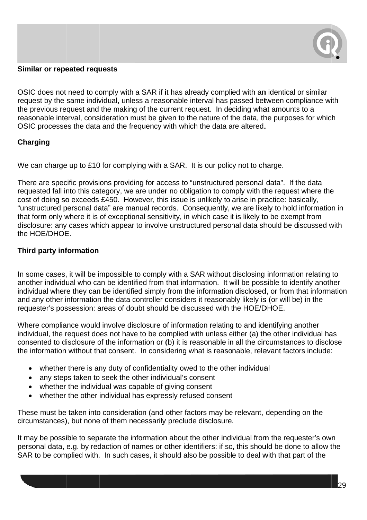

#### Similar or repeated requests

OSIC does not need to comply with a SAR if it has already complied with an identical or similar request by the same individual, unless a reasonable interval has passed between compliance with the previous request and the making of the current request. In deciding what amounts to a reasonable interval, consideration must be given to the nature of the data, the purposes for which OSIC processes the data and the frequency with which the data are altered.

#### Charging

We can charge up to £10 for complying with a SAR. It is our policy not to charge.

There are specific provisions providing for access to "unstructured personal data". If the data requested fall into this category, we are under no obligation to comply with the request where the cost of doing so exceeds £450. However, this issue is unlikely to arise in practice: basically, "unstructured personal data" are manual records. Consequently, we are likely to hold information in that form only where it is of exceptional sensitivity, in which case it is likely to be exempt from disclosure: any cases which appear to involve unstructured personal data should be discussed with the HOE/DHOE.

#### Third party information

In some cases, it will be impossible to comply with a SAR without disclosing information relating to another individual who can be identified from that information. It will be possible to identify another individual where they can be identified simply from the information disclosed, or from that information and any other information the data controller considers it reasonably likely is (or will be) in the requester's possession: areas of doubt should be discussed with the HOE/DHOE.

Where compliance would involve disclosure of information relating to and identifying another individual, the request does not have to be complied with unless either (a) the other individual has consented to disclosure of the information or (b) it is reasonable in all the circumstances to disclose the information without that consent. In considering what is reasonable, relevant factors include:

- whether there is any duty of confidentiality owed to the other individual
- any steps taken to seek the other individual's consent
- whether the individual was capable of giving consent
- whether the other individual has expressly refused consent

These must be taken into consideration (and other factors may be relevant, depending on the circumstances), but none of them necessarily preclude disclosure.

It may be possible to separate the information about the other individual from the requester's own personal data, e.g. by redaction of names or other identifiers: if so, this should be done to allow the SAR to be complied with. In such cases, it should also be possible to deal with that part of the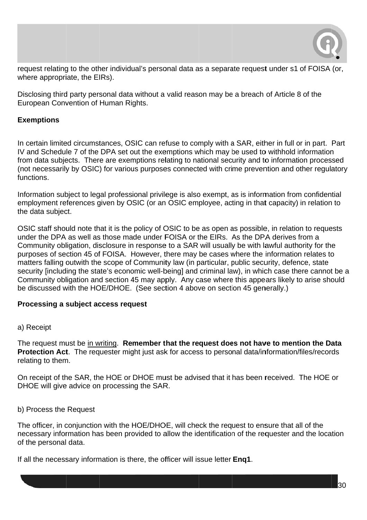

request relating to the other individual's personal data as a separate request under s1 of FOISA (or, where appropriate, the EIRs).

Disclosing third party personal data without a valid reason may be a breach of Article 8 of the European Convention of Human Rights.

#### **Exemptions**

In certain limited circumstances, OSIC can refuse to comply with a SAR, either in full or in part. Part IV and Schedule 7 of the DPA set out the exemptions which may be used to withhold information from data subjects. There are exemptions relating to national security and to information processed (not necessarily by OSIC) for various purposes connected with crime prevention and other regulatory functions.

Information subject to legal professional privilege is also exempt, as is information from confidential employment references given by OSIC (or an OSIC employee, acting in that capacity) in relation to the data subject.

OSIC staff should note that it is the policy of OSIC to be as open as possible, in relation to requests under the DPA as well as those made under FOISA or the EIRs. As the DPA derives from a Community obligation, disclosure in response to a SAR will usually be with lawful authority for the purposes of section 45 of FOISA. However, there may be cases where the information relates to matters falling outwith the scope of Community law (in particular, public security, defence, state security [including the state's economic well-being] and criminal law), in which case there cannot be a Community obligation and section 45 may apply. Any case where this appears likely to arise should be discussed with the HOE/DHOE. (See section 4 above on section 45 generally.)

#### Processing a subject access request

#### a) Receipt

The request must be in writing. Remember that the request does not have to mention the Data Protection Act. The requester might just ask for access to personal data/information/files/records relating to them.

On receipt of the SAR, the HOE or DHOE must be advised that it has been received. The HOE or DHOE will give advice on processing the SAR.

#### b) Process the Request

The officer, in conjunction with the HOE/DHOE, will check the request to ensure that all of the necessary information has been provided to allow the identification of the requester and the location of the personal data.

If all the necessary information is there, the officer will issue letter Eng1.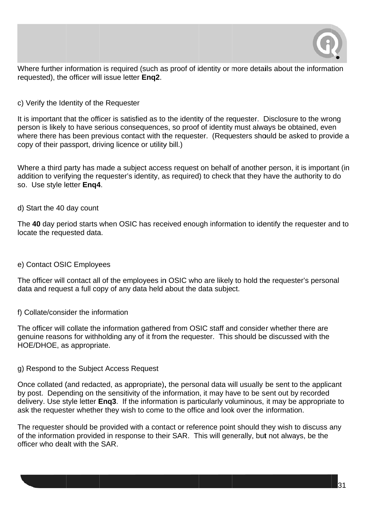

Where further information is required (such as proof of identity or more details about the information requested), the officer will issue letter Eng2.

c) Verify the Identity of the Requester

It is important that the officer is satisfied as to the identity of the requester. Disclosure to the wrong person is likely to have serious consequences, so proof of identity must always be obtained, even where there has been previous contact with the requester. (Requesters should be asked to provide a copy of their passport, driving licence or utility bill.)

Where a third party has made a subject access request on behalf of another person, it is important (in addition to verifying the requester's identity, as required) to check that they have the authority to do so. Use style letter Eng4.

d) Start the 40 day count

The 40 day period starts when OSIC has received enough information to identify the requester and to locate the requested data.

#### e) Contact OSIC Employees

The officer will contact all of the employees in OSIC who are likely to hold the requester's personal data and request a full copy of any data held about the data subject.

#### f) Collate/consider the information

The officer will collate the information gathered from OSIC staff and consider whether there are genuine reasons for withholding any of it from the requester. This should be discussed with the HOE/DHOE, as appropriate.

#### g) Respond to the Subject Access Request

Once collated (and redacted, as appropriate), the personal data will usually be sent to the applicant by post. Depending on the sensitivity of the information, it may have to be sent out by recorded delivery. Use style letter Eng3. If the information is particularly voluminous, it may be appropriate to ask the requester whether they wish to come to the office and look over the information.

The requester should be provided with a contact or reference point should they wish to discuss any of the information provided in response to their SAR. This will generally, but not always, be the officer who dealt with the SAR.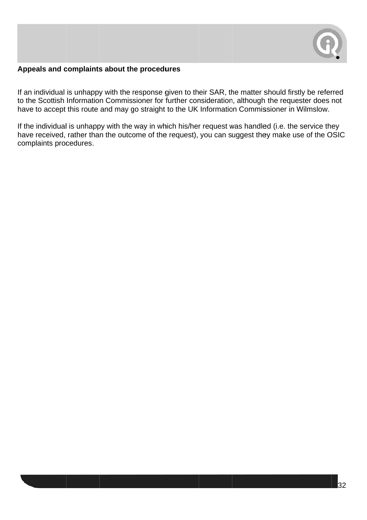

#### Appeals and complaints about the procedures

If an individual is unhappy with the response given to their SAR, the matter should firstly be referred to the Scottish Information Commissioner for further consideration, although the requester does not have to accept this route and may go straight to the UK Information Commissioner in Wilmslow.

If the individual is unhappy with the way in which his/her request was handled (i.e. the service they have received, rather than the outcome of the request), you can suggest they make use of the OSIC complaints procedures.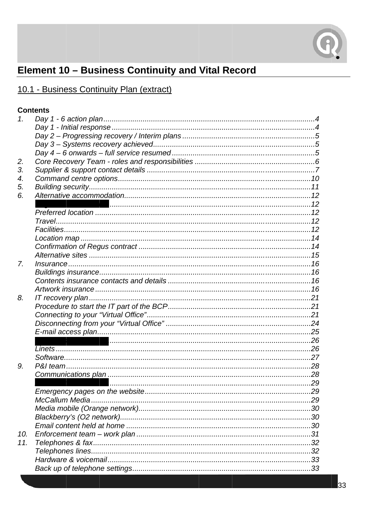

# Element 10 - Business Continuity and Vital Record

# 10.1 - Business Continuity Plan (extract)

#### **Contents**

| 1.  |  |
|-----|--|
|     |  |
|     |  |
|     |  |
|     |  |
| 2.  |  |
| 3.  |  |
| 4.  |  |
| 5.  |  |
| 6.  |  |
|     |  |
|     |  |
|     |  |
|     |  |
|     |  |
|     |  |
|     |  |
| 7.  |  |
|     |  |
|     |  |
|     |  |
| 8.  |  |
|     |  |
|     |  |
|     |  |
|     |  |
|     |  |
|     |  |
|     |  |
| 9.  |  |
|     |  |
|     |  |
|     |  |
|     |  |
|     |  |
|     |  |
|     |  |
| 10. |  |
| 11. |  |
|     |  |
|     |  |
|     |  |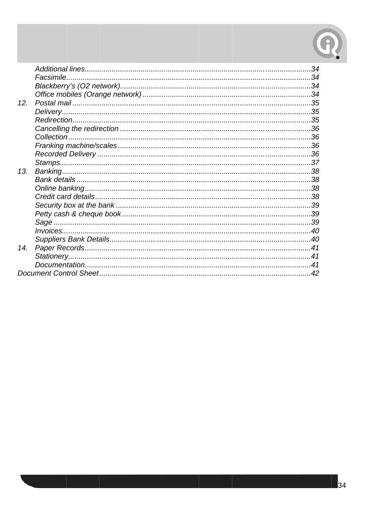

|     | Facsimile. |  |
|-----|------------|--|
|     |            |  |
|     |            |  |
| 12. |            |  |
|     |            |  |
|     |            |  |
|     |            |  |
|     |            |  |
|     |            |  |
|     |            |  |
|     |            |  |
| 13. |            |  |
|     |            |  |
|     |            |  |
|     |            |  |
|     |            |  |
|     |            |  |
|     |            |  |
|     |            |  |
|     |            |  |
| 14. |            |  |
|     |            |  |
|     |            |  |
|     |            |  |
|     |            |  |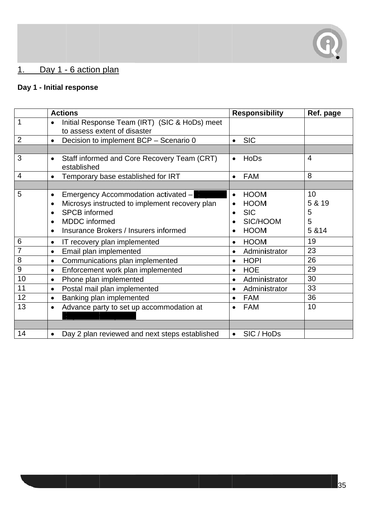

#### Day 1 - 6 action plan  $1$ .

# Day 1 - Initial response

|                | <b>Actions</b>                                                                                                                                                                                                                                  | <b>Responsibility</b>                                                                                                   | Ref. page                        |
|----------------|-------------------------------------------------------------------------------------------------------------------------------------------------------------------------------------------------------------------------------------------------|-------------------------------------------------------------------------------------------------------------------------|----------------------------------|
| 1              | Initial Response Team (IRT) (SIC & HoDs) meet<br>$\bullet$<br>to assess extent of disaster                                                                                                                                                      |                                                                                                                         |                                  |
| $\overline{2}$ | Decision to implement BCP - Scenario 0<br>$\bullet$                                                                                                                                                                                             | <b>SIC</b><br>$\bullet$                                                                                                 |                                  |
|                |                                                                                                                                                                                                                                                 |                                                                                                                         |                                  |
| 3              | Staff informed and Core Recovery Team (CRT)<br>$\bullet$<br>established                                                                                                                                                                         | HoDs<br>$\bullet$                                                                                                       | $\overline{4}$                   |
| $\overline{4}$ | Temporary base established for IRT<br>$\bullet$                                                                                                                                                                                                 | <b>FAM</b><br>$\bullet$                                                                                                 | 8                                |
|                |                                                                                                                                                                                                                                                 |                                                                                                                         |                                  |
| 5              | Emergency Accommodation activated -<br>$\bullet$<br>Microsys instructed to implement recovery plan<br>$\bullet$<br><b>SPCB</b> informed<br>$\bullet$<br><b>MDDC</b> informed<br>$\bullet$<br>Insurance Brokers / Insurers informed<br>$\bullet$ | <b>HOOM</b><br>$\bullet$<br><b>HOOM</b><br>$\bullet$<br><b>SIC</b><br>$\bullet$<br>SIC/HOOM<br><b>HOOM</b><br>$\bullet$ | 10<br>5 & 19<br>5<br>5<br>5 & 14 |
| 6              | IT recovery plan implemented<br>$\bullet$                                                                                                                                                                                                       | <b>HOOM</b><br>$\bullet$                                                                                                | 19                               |
|                | Email plan implemented<br>$\bullet$                                                                                                                                                                                                             | Administrator<br>$\bullet$                                                                                              | 23                               |
| 8              | Communications plan implemented<br>$\bullet$                                                                                                                                                                                                    | <b>HOPI</b><br>$\bullet$                                                                                                | 26                               |
| 9              | Enforcement work plan implemented<br>$\bullet$                                                                                                                                                                                                  | <b>HOE</b><br>$\bullet$                                                                                                 | 29                               |
| 10             | Phone plan implemented<br>$\bullet$                                                                                                                                                                                                             | Administrator<br>$\bullet$                                                                                              | 30                               |
| 11             | Postal mail plan implemented<br>$\bullet$                                                                                                                                                                                                       | Administrator<br>$\bullet$                                                                                              | 33                               |
| 12             | Banking plan implemented<br>$\bullet$                                                                                                                                                                                                           | <b>FAM</b><br>$\bullet$                                                                                                 | 36                               |
| 13             | Advance party to set up accommodation at<br>$\bullet$                                                                                                                                                                                           | <b>FAM</b><br>$\bullet$                                                                                                 | 10                               |
| 14             | Day 2 plan reviewed and next steps established<br>$\bullet$                                                                                                                                                                                     | SIC / HoDs<br>$\bullet$                                                                                                 |                                  |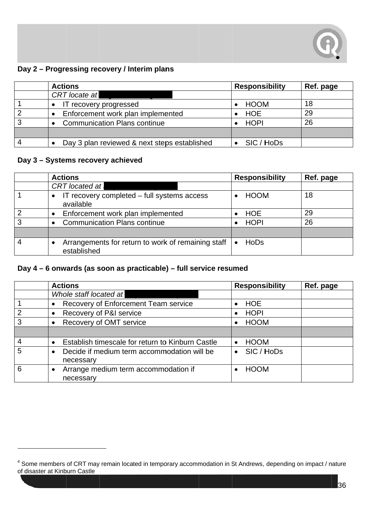

#### Day 2 - Progressing recovery / Interim plans

|   | <b>Actions</b>                               | <b>Responsibility</b> | Ref. page |
|---|----------------------------------------------|-----------------------|-----------|
|   | <b>CRT</b> locate at                         |                       |           |
|   | IT recovery progressed                       | HOOM                  | 18        |
| ⌒ | Enforcement work plan implemented            | HOE                   | 29        |
| ົ | <b>Communication Plans continue</b>          | HOPI                  | 26        |
|   |                                              |                       |           |
|   | Day 3 plan reviewed & next steps established | SIC / HoDs            |           |

#### Day 3 - Systems recovery achieved

| <b>Actions</b>                                                    | <b>Responsibility</b> | Ref. page |
|-------------------------------------------------------------------|-----------------------|-----------|
| <b>CRT</b> located at                                             |                       |           |
| IT recovery completed – full systems access<br>available          | <b>HOOM</b>           | 18        |
| Enforcement work plan implemented                                 | <b>HOE</b>            | 29        |
| <b>Communication Plans continue</b>                               | <b>HOPI</b>           | 26        |
|                                                                   |                       |           |
| Arrangements for return to work of remaining staff<br>established | HoDs                  |           |

#### Day 4 - 6 onwards (as soon as practicable) - full service resumed

|   | <b>Actions</b>                                   | <b>Responsibility</b>   | Ref. page |
|---|--------------------------------------------------|-------------------------|-----------|
|   | Whole staff located at                           |                         |           |
|   | Recovery of Enforcement Team service             | <b>HOE</b>              |           |
| 2 | Recovery of P&I service                          | <b>HOPI</b>             |           |
| 3 | Recovery of OMT service                          | <b>HOOM</b>             |           |
|   |                                                  |                         |           |
|   | Establish timescale for return to Kinburn Castle | <b>HOOM</b>             |           |
| 5 | Decide if medium term accommodation will be      | SIC / HoDs<br>$\bullet$ |           |
|   | necessary                                        |                         |           |
| 6 | Arrange medium term accommodation if             | <b>HOOM</b>             |           |
|   | necessary                                        |                         |           |

<sup>&</sup>lt;sup>4</sup> Some members of CRT may remain located in temporary accommodation in St Andrews, depending on impact / nature of disaster at Kinburn Castle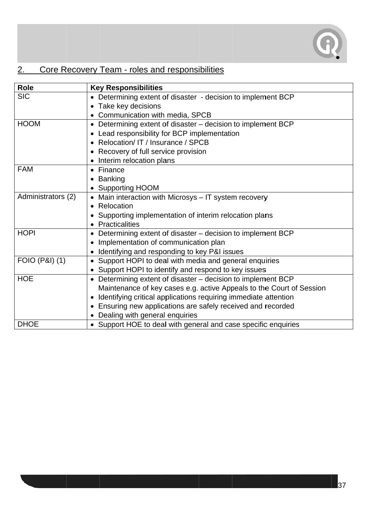

#### Core Recovery Team - roles and responsibilities  $2.$

| Role               | <b>Key Responsibilities</b>                                                  |
|--------------------|------------------------------------------------------------------------------|
| <b>SIC</b>         | Determining extent of disaster - decision to implement BCP<br>$\bullet$      |
|                    | Take key decisions<br>$\bullet$                                              |
|                    | Communication with media, SPCB                                               |
| <b>HOOM</b>        | • Determining extent of disaster – decision to implement BCP                 |
|                    | Lead responsibility for BCP implementation                                   |
|                    | Relocation/ IT / Insurance / SPCB                                            |
|                    | Recovery of full service provision                                           |
|                    | Interim relocation plans                                                     |
| <b>FAM</b>         | Finance<br>$\bullet$                                                         |
|                    | <b>Banking</b>                                                               |
|                    | <b>Supporting HOOM</b>                                                       |
| Administrators (2) | Main interaction with Microsys - IT system recovery                          |
|                    | Relocation<br>$\bullet$                                                      |
|                    | Supporting implementation of interim relocation plans                        |
|                    | <b>Practicalities</b>                                                        |
| <b>HOPI</b>        | Determining extent of disaster – decision to implement BCP                   |
|                    | Implementation of communication plan                                         |
|                    | Identifying and responding to key P&I issues                                 |
| FOIO (P&I) (1)     | Support HOPI to deal with media and general enquiries                        |
|                    | Support HOPI to identify and respond to key issues                           |
| <b>HOE</b>         | Determining extent of disaster – decision to implement BCP                   |
|                    | Maintenance of key cases e.g. active Appeals to the Court of Session         |
|                    | Identifying critical applications requiring immediate attention<br>$\bullet$ |
|                    | Ensuring new applications are safely received and recorded                   |
|                    | Dealing with general enquiries                                               |
| <b>DHOE</b>        | • Support HOE to deal with general and case specific enquiries               |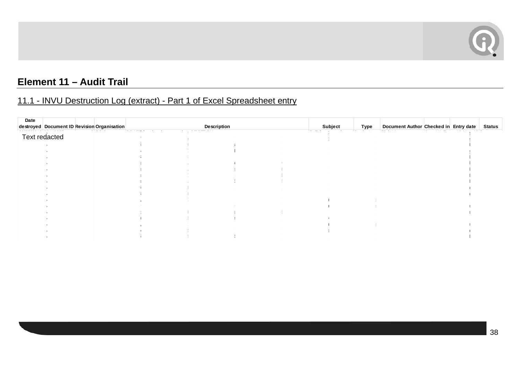

# **Element 11 – Audit Trail**

# 11.1 - INVU Destruction Log (extract) - Part 1 of Excel Spreadsheet entry

| Date |               |                                             |             |         |      |                                       |  |               |
|------|---------------|---------------------------------------------|-------------|---------|------|---------------------------------------|--|---------------|
|      |               | destroyed Document ID Revision Organisation | Description | Subject | Type | Document Author Checked in Entry date |  | <b>Status</b> |
|      |               |                                             |             |         |      |                                       |  |               |
|      | Text redacted |                                             |             |         |      |                                       |  |               |
|      |               |                                             |             |         |      |                                       |  |               |
|      |               |                                             |             |         |      |                                       |  |               |
|      |               |                                             |             |         |      |                                       |  |               |
|      |               |                                             |             |         |      |                                       |  |               |
|      |               |                                             |             |         |      |                                       |  |               |
|      |               |                                             |             |         |      |                                       |  |               |
|      |               |                                             |             |         |      |                                       |  |               |
|      |               |                                             |             |         |      |                                       |  |               |
|      |               |                                             |             |         |      |                                       |  |               |
|      |               |                                             |             |         |      |                                       |  |               |
|      |               |                                             |             |         |      |                                       |  |               |
|      |               |                                             |             |         |      |                                       |  |               |
|      |               |                                             |             |         |      |                                       |  |               |
|      |               |                                             |             |         |      |                                       |  |               |
|      |               |                                             |             |         |      |                                       |  |               |
|      |               |                                             |             |         |      |                                       |  |               |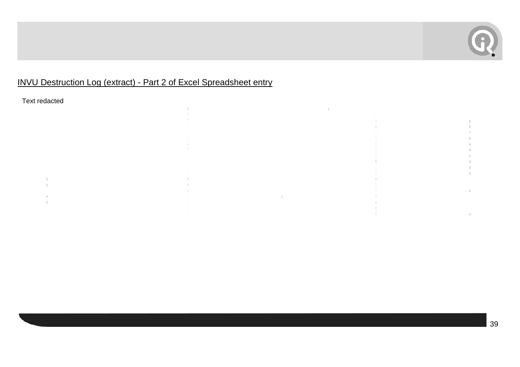

# INVU Destruction Log (extract) - Part 2 of Excel Spreadsheet entry

Text redacted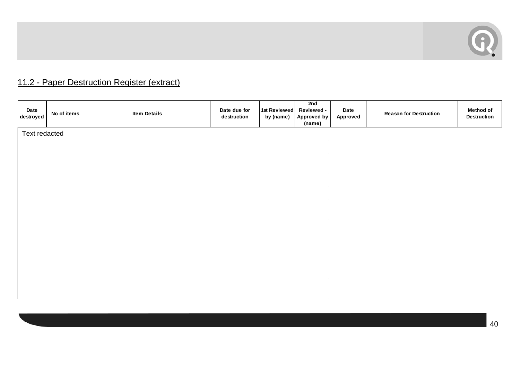

# 11.2 - Paper Destruction Register (extract)

| Date<br>destroyed | No of items | <b>Item Details</b> | Date due for<br>destruction       | 1st Reviewed<br>by (name) | 2nd<br>Reviewed -<br>Approved by<br>(name) | Date<br>Approved | <b>Reason for Destruction</b> | <b>Method of</b><br><b>Destruction</b> |
|-------------------|-------------|---------------------|-----------------------------------|---------------------------|--------------------------------------------|------------------|-------------------------------|----------------------------------------|
| Text redacted     |             |                     | $\sim 10^{-1}$<br>$\sim 10^{-11}$ |                           |                                            |                  | $\sim 10^{-1}$                |                                        |
|                   |             |                     |                                   |                           |                                            |                  |                               |                                        |
|                   |             |                     | $\mathcal{L}$<br>$\sim$           |                           |                                            |                  |                               |                                        |
|                   |             |                     | $\sim$                            |                           | $\sim$                                     |                  | $\sim$                        |                                        |
|                   |             |                     | $\sim$                            |                           |                                            |                  | $\sim$                        |                                        |
|                   |             |                     | $\sim$<br>$\mathcal{L}$           |                           |                                            |                  |                               |                                        |
|                   |             |                     | $\sim 10^{-1}$<br>$\sim 10^{-1}$  |                           | $\sim$                                     |                  | $\sim 10^{-1}$                |                                        |
|                   |             |                     |                                   |                           |                                            |                  |                               |                                        |
|                   |             |                     |                                   |                           |                                            |                  |                               |                                        |
|                   |             |                     |                                   |                           |                                            |                  |                               |                                        |
|                   |             |                     |                                   |                           |                                            |                  |                               |                                        |
|                   |             |                     | $\sim 10^{-1}$                    |                           | $\sim 10^{-1}$                             |                  | $\sim 100$                    |                                        |
|                   |             |                     |                                   |                           |                                            |                  |                               |                                        |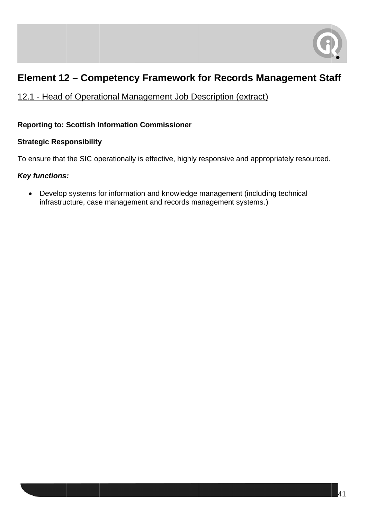

# Element 12 - Competency Framework for Records Management Staff

# 12.1 - Head of Operational Management Job Description (extract)

#### **Reporting to: Scottish Information Commissioner**

#### **Strategic Responsibility**

To ensure that the SIC operationally is effective, highly responsive and appropriately resourced.

#### **Key functions:**

• Develop systems for information and knowledge management (including technical infrastructure, case management and records management systems.)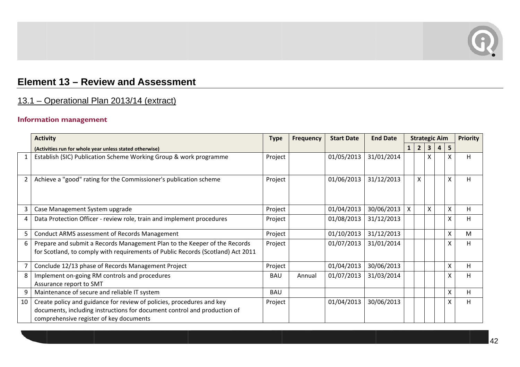

# Element 13 - Review and Assessment

# 13.1 - Operational Plan 2013/14 (extract)

#### **Information management**

|                | <b>Activity</b>                                                                                                                                                                              | <b>Type</b> | <b>Frequency</b> | <b>Start Date</b> | <b>End Date</b><br><b>Strategic Aim</b> |              |                           |   | <b>Priority</b>     |   |
|----------------|----------------------------------------------------------------------------------------------------------------------------------------------------------------------------------------------|-------------|------------------|-------------------|-----------------------------------------|--------------|---------------------------|---|---------------------|---|
|                | (Activities run for whole year unless stated otherwise)                                                                                                                                      |             |                  |                   |                                         | $\mathbf{1}$ | $\overline{2}$            | 3 | 5<br>$\overline{4}$ |   |
|                | Establish (SIC) Publication Scheme Working Group & work programme                                                                                                                            | Project     |                  | 01/05/2013        | 31/01/2014                              |              |                           | X |                     | H |
| $\overline{2}$ | Achieve a "good" rating for the Commissioner's publication scheme                                                                                                                            | Project     |                  | 01/06/2013        | 31/12/2013                              |              | $\boldsymbol{\mathsf{X}}$ |   | X                   | H |
| 3              | Case Management System upgrade                                                                                                                                                               | Project     |                  | 01/04/2013        | 30/06/2013                              | X.           |                           | X | X                   | H |
| 4              | Data Protection Officer - review role, train and implement procedures                                                                                                                        | Project     |                  | 01/08/2013        | 31/12/2013                              |              |                           |   | X                   | H |
| 5              | Conduct ARMS assessment of Records Management                                                                                                                                                | Project     |                  | 01/10/2013        | 31/12/2013                              |              |                           |   | X                   | M |
| 6              | Prepare and submit a Records Management Plan to the Keeper of the Records<br>for Scotland, to comply with requirements of Public Records (Scotland) Act 2011                                 | Project     |                  | 01/07/2013        | 31/01/2014                              |              |                           |   | Χ                   | H |
| 7              | Conclude 12/13 phase of Records Management Project                                                                                                                                           | Project     |                  | 01/04/2013        | 30/06/2013                              |              |                           |   | X                   | H |
| 8              | Implement on-going RM controls and procedures<br>Assurance report to SMT                                                                                                                     | <b>BAU</b>  | Annual           | 01/07/2013        | 31/03/2014                              |              |                           |   | X                   | H |
| 9              | Maintenance of secure and reliable IT system                                                                                                                                                 | <b>BAU</b>  |                  |                   |                                         |              |                           |   | X                   | H |
| 10             | Create policy and guidance for review of policies, procedures and key<br>documents, including instructions for document control and production of<br>comprehensive register of key documents | Project     |                  | 01/04/2013        | 30/06/2013                              |              |                           |   | X                   | H |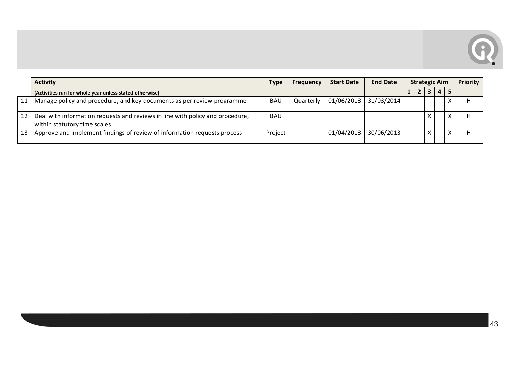

|                 | <b>Activity</b>                                                                                               | <b>Type</b> | <b>Frequency</b> | <b>Start Date</b> | <b>End Date</b> | <b>Strategic Aim</b> |  |  | Priority       |   |
|-----------------|---------------------------------------------------------------------------------------------------------------|-------------|------------------|-------------------|-----------------|----------------------|--|--|----------------|---|
|                 | (Activities run for whole year unless stated otherwise)                                                       |             |                  |                   |                 |                      |  |  | $\overline{a}$ |   |
|                 | Manage policy and procedure, and key documents as per review programme                                        | <b>BAU</b>  | Quarterly        | 01/06/2013        | 31/03/2014      |                      |  |  |                |   |
| 12              | Deal with information requests and reviews in line with policy and procedure,<br>within statutory time scales | <b>BAU</b>  |                  |                   |                 |                      |  |  |                |   |
| 13 <sub>1</sub> | Approve and implement findings of review of information requests process                                      | Project     |                  | 01/04/2013        | 30/06/2013      |                      |  |  |                | Н |